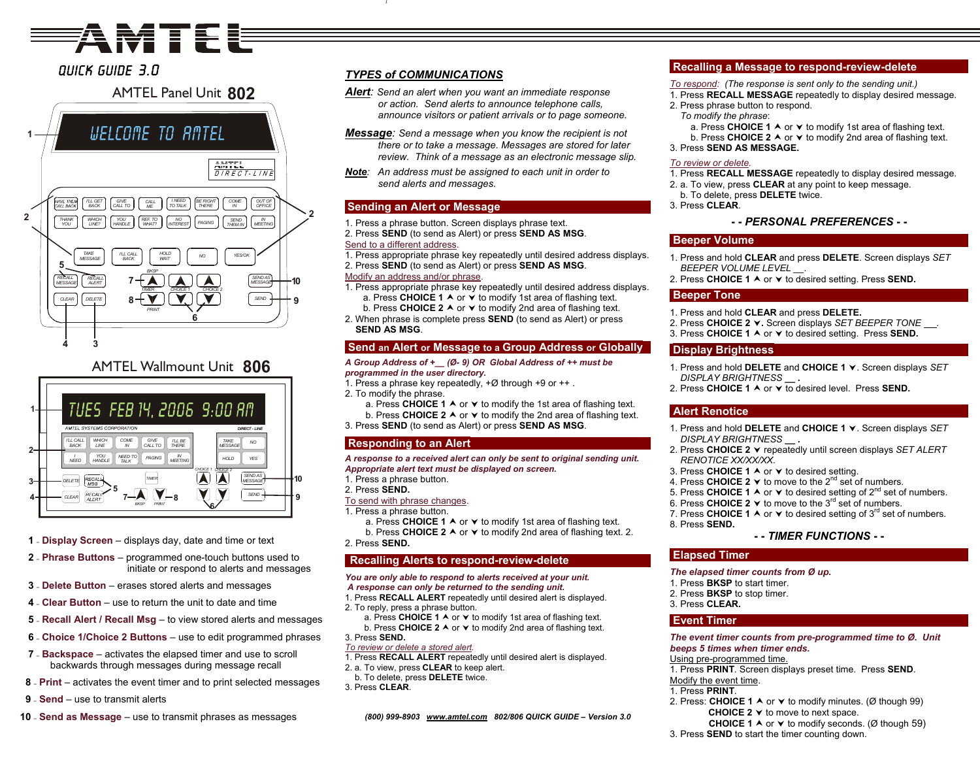# **Seires**

## Quick Guide 3.0

## AMTEL Panel Unit**802**





- **1 – Display Screen** displays day, date and time or text
- **2 – Phrase Buttons** program med one-touch buttons used to initiate or respond to alerts and messages
- **3 – Delete Button** erases stored alerts and messages
- **4 – Clear Button** use to return the unit to date and time
- **5 – Recall Alert / Recall Msg** to view stored alerts and messages
- **6 – Choice 1/Choice 2 Buttons** use to edit programmed phrases
- **7 – Backspace** activates the elapsed timer and use to scroll backwards through messages during message recall
- **8 – Print** activates the event timer and to print selected messages
- **9 – Send** use to transmit alerts
- **10 – Send as Message** use to transmit phrases as messages

## *TYPES of COMMUNICATIONS*

- *Alert: Send an alert when you want an immediate response or action. Send alerts to announce telephone calls, announce visitors or patient arrivals or to page someone.*
- *Message: Send a message when you know the recipient is not there or to take a message. Messages are stored for later review. Think of a message as an electronic message slip.*
- *Note: An address must be assigned to each unit in order to send alerts and messages.*

## **Sending an Alert or Message**

- 1. Press a phrase button. Screen displays phrase text. 2. Press **SEND** (to send as Alert) or press **SEND AS MSG**. Send to a different address.
- 1. Press appropriate phrase key repeatedly until desired address displays.

#### 2. Press **SEND** (to send as Alert) or press **SEND AS MSG**. Modify an address and/or phrase.

- 1. Press appropriate phrase key repeatedly until desired address displays. a. Press **CHOICE 1** A or  $\vee$  to modify 1st area of flashing text. b. Press **CHOICE 2 A** or **∀** to modify 2nd area of flashing text.
- 2. When phrase is complete press **SEND** (to send as Alert) or press **SEND AS MSG**.

## **Send an Alert or Message to a Group Address or Globally**

#### *A Group Address of +\_\_ (Ø- 9) OR Global Address of ++ must be programmed in the user directory.*

- 1. Press a phrase key repeatedly, +Ø through +9 or ++ .
- 2. To modify the phrase.
- a. Press CHOICE 1 A or  $\vee$  to modify the 1st area of flashing text. b. Press CHOICE 2  $\blacktriangle$  or  $\blacktriangledown$  to modify the 2nd area of flashing text.
- 3. Press **SEND** (to send as Alert) or press **SEND AS MSG**.

## **Responding to an Alert**

*A response to a received alert can only be sent to original sending unit. Appropriate alert text must be displayed on screen.* 

- 1. Press a phrase button.
- 2. Press **SEND.**
- To send with phrase changes.
- 1. Press a phrase button.
	- a. Press CHOICE 1 A or **∀** to modify 1st area of flashing text.
	- b. Press CHOICE 2 A or  $\blacktriangledown$  to modify 2nd area of flashing text. 2.
- 2. Press **SEND.**

## **Recalling Alerts to respond-re view-delete**

#### *You are only able to respond to alerts received at your unit. A response can only be returned to the sending unit.*

- 1. Press **RECALL ALERT** repeatedly until desired alert is displayed. 2. To reply, press a phrase button.
- a. Press CHOICE  $1 \wedge$  or  $\vee$  to modify 1st area of flashing text.
- b. Press **CHOICE 2**  $\land$  or  $\lor$  to modify 2nd area of flashing text. 3. Press **SEND.**

## *To review or delete a stored alert.*

- 1. Press **RECALL ALERT** repeatedly until desired alert is displayed.
- 2. a. To view, press **CLE AR** to keep alert.
- b. To delete, press **DELETE** twice.
- 3. Press **CLEAR**.

*(800) 999-8903 <sup>w</sup> [ww.amtel.com](http://www.amtel.com/) 802/806 QUICK GUIDE – Version 3.0*

## **Recalling a Message to respond-review-delete**

- *To respond: (The response is sent only to the sending unit.)*
- 1. Press **RECALL MESSAGE** repeatedly to display desired message.
- 2. Press phrase button to respond. *To modify the phrase*:
	- a. Press CHOICE 1 A or **∀** to modify 1st area of flashing text.
	- b. Press CHOICE 2 A or **∀** to modify 2nd area of flashing text.
- 3. Press **SEND AS MESS AGE.**

## *To review or delete.*

- 1. Press **RECALL MESSAGE** repeatedly to display desired message.
- 2. a. To view, press **CLE AR** at any point to keep message.
- b. To delete, press **DELETE** twice.
- 3. Press **CLEAR**.

## **- -** *PERSONAL PREFERENCES* **- -**

## **Beeper Volume**

- 1. Press and hold **CLEAR** and press **DELETE**. Screen displays *SET BEEPER VOLUME LEVEL \_\_.*
- 2. Press CHOICE 1 A or  $\vee$  to desired setting. Press SEND.

## **Beeper Tone**

- 1. Press and hold **CLEAR** and press **DELETE.**
- 2. Press **CHOICE 2**<sup>j</sup>**.** Screen displays *S ET BEEPER TONE .*
- 3. Press CHOICE 1 A or  $\times$  to desired setting. Press SEND.

## **Display Brightness**

- 1. Press and hold **DELETE** and **CHOICE 1** <sup>j</sup>. Screen displays *SET DISPLAY BRI GHTNESS \_\_ .*
- 2. Press CHOICE 1 A or **∀** to desired level. Press SEND.

## **Alert Renotice**

- 1. Press and hold **DELETE** and **CHOICE 1** <sup>j</sup>. Screen displays *SET DISPLAY BRI GHTNESS \_\_ .*
- 2. Press **CHOICE 2**<sup>j</sup> repeatedly until screen displays *SET ALERT RENOTICE XX/XX/XX*.
- 3. Press CHOICE 1 A or  $\vee$  to desired setting.
- 4. Press CHOICE 2 ▼ to move to the 2<sup>nd</sup> set of numbers.
- 5. Press CHOICE 1 A or  $\vee$  to desired setting of 2<sup>nd</sup> set of numbers.
- 6. Press CHOICE 2 ▼ to move to the 3<sup>rd</sup> set of numbers.
- 7. Press CHOICE 1  $\blacktriangle$  or  $\blacktriangledown$  to desired setting of 3<sup>rd</sup> set of numbers. 8. Press **SEND.**

## **- -** *TIMER FUNCTIONS* **- -**

### **Elapsed Timer**

*The elapsed timer counts from Ø up.* 

- 1. Press **BKSP** to start timer.
- 2. Press **BKSP** to stop timer.
- 3. Press **CLEAR.**

## **Event Timer**

*The event timer counts from pre-programmed time to Ø. Unit beeps 5 times when timer en ds.* 

#### Using pre-programmed time.

1. Press **PRINT**. Screen displays preset time. Press **SEND**.

## Modify the event time.

- 1. Press **PRINT**.
- 2. Press: **CHOICE 1 ∧** or **∨** to modify minutes. (Ø though 99) **CHOICE 2**  $\times$  to move to next space.
- **CHOICE 1** A or  $\vee$  to modify seconds. (Ø though 59)
- 3. Press **SEND** to start the timer counting down.